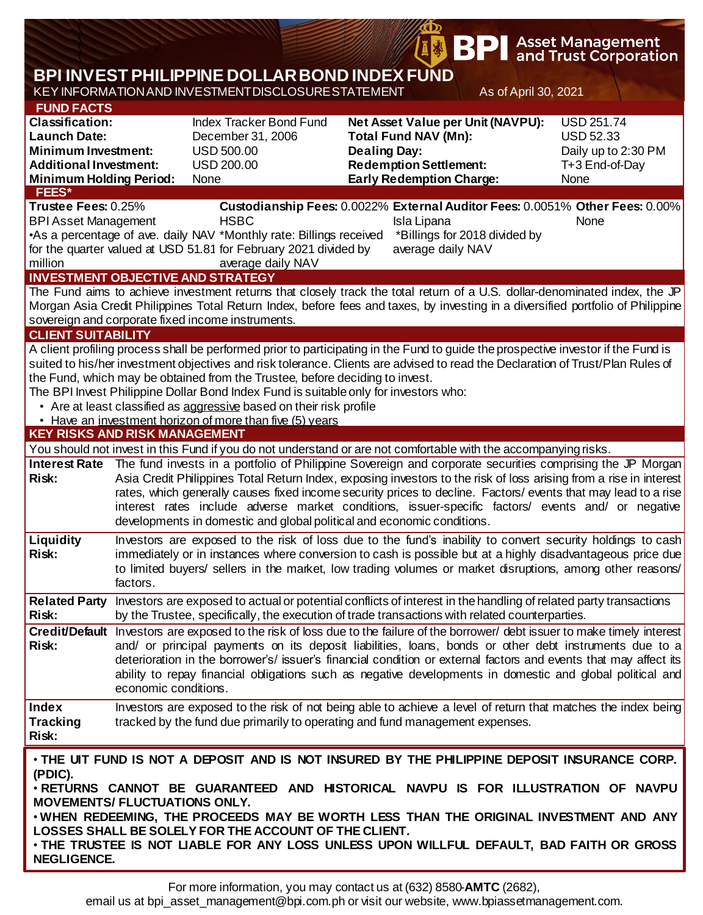|                                                                                                                                                                                      |                                                                                                                                                                                                                                                                                                                                                                                                                                                                                                                                                                                                                                                                    |                                                                                                                                                                                                                                                                                                                                       |                                                                                                                                                             | <b>\$ BPI</b>                                                     |                      | <b>Asset Management</b><br>and Trust Corporation                                                                                                                                                                                                                                                                                                                      |  |  |  |  |
|--------------------------------------------------------------------------------------------------------------------------------------------------------------------------------------|--------------------------------------------------------------------------------------------------------------------------------------------------------------------------------------------------------------------------------------------------------------------------------------------------------------------------------------------------------------------------------------------------------------------------------------------------------------------------------------------------------------------------------------------------------------------------------------------------------------------------------------------------------------------|---------------------------------------------------------------------------------------------------------------------------------------------------------------------------------------------------------------------------------------------------------------------------------------------------------------------------------------|-------------------------------------------------------------------------------------------------------------------------------------------------------------|-------------------------------------------------------------------|----------------------|-----------------------------------------------------------------------------------------------------------------------------------------------------------------------------------------------------------------------------------------------------------------------------------------------------------------------------------------------------------------------|--|--|--|--|
|                                                                                                                                                                                      |                                                                                                                                                                                                                                                                                                                                                                                                                                                                                                                                                                                                                                                                    | <b>BPI INVEST PHILIPPINE DOLLAR BOND INDEX FUND</b>                                                                                                                                                                                                                                                                                   |                                                                                                                                                             |                                                                   |                      |                                                                                                                                                                                                                                                                                                                                                                       |  |  |  |  |
|                                                                                                                                                                                      |                                                                                                                                                                                                                                                                                                                                                                                                                                                                                                                                                                                                                                                                    | KEY INFORMATION AND INVESTMENT DISCLOSURE STATEMENT                                                                                                                                                                                                                                                                                   |                                                                                                                                                             |                                                                   | As of April 30, 2021 |                                                                                                                                                                                                                                                                                                                                                                       |  |  |  |  |
| <b>FUND FACTS</b><br><b>Classification:</b><br><b>Launch Date:</b><br><b>Minimum Investment:</b><br><b>Additional Investment:</b><br><b>Minimum Holding Period:</b><br><b>FEES*</b>  |                                                                                                                                                                                                                                                                                                                                                                                                                                                                                                                                                                                                                                                                    | Index Tracker Bond Fund<br>December 31, 2006<br><b>USD 500.00</b><br><b>USD 200.00</b><br>None                                                                                                                                                                                                                                        | Net Asset Value per Unit (NAVPU):<br><b>Total Fund NAV (Mn):</b><br><b>Dealing Day:</b><br><b>Redemption Settlement:</b><br><b>Early Redemption Charge:</b> |                                                                   |                      | <b>USD 251.74</b><br><b>USD 52.33</b><br>Daily up to 2:30 PM<br>T+3 End-of-Day<br>None                                                                                                                                                                                                                                                                                |  |  |  |  |
| Trustee Fees: 0.25%<br><b>BPI Asset Management</b><br>million                                                                                                                        |                                                                                                                                                                                                                                                                                                                                                                                                                                                                                                                                                                                                                                                                    | <b>HSBC</b><br>•As a percentage of ave. daily NAV *Monthly rate: Billings received<br>for the quarter valued at USD 51.81 for February 2021 divided by<br>average daily NAV                                                                                                                                                           |                                                                                                                                                             | Isla Lipana<br>*Billings for 2018 divided by<br>average daily NAV |                      | Custodianship Fees: 0.0022% External Auditor Fees: 0.0051% Other Fees: 0.00%<br>None                                                                                                                                                                                                                                                                                  |  |  |  |  |
| <b>INVESTMENT OBJECTIVE AND STRATEGY</b><br>The Fund aims to achieve investment returns that closely track the total return of a U.S. dollar-denominated index, the JP               |                                                                                                                                                                                                                                                                                                                                                                                                                                                                                                                                                                                                                                                                    |                                                                                                                                                                                                                                                                                                                                       |                                                                                                                                                             |                                                                   |                      |                                                                                                                                                                                                                                                                                                                                                                       |  |  |  |  |
| Morgan Asia Credit Philippines Total Return Index, before fees and taxes, by investing in a diversified portfolio of Philippine<br>sovereign and corporate fixed income instruments. |                                                                                                                                                                                                                                                                                                                                                                                                                                                                                                                                                                                                                                                                    |                                                                                                                                                                                                                                                                                                                                       |                                                                                                                                                             |                                                                   |                      |                                                                                                                                                                                                                                                                                                                                                                       |  |  |  |  |
| <b>CLIENT SUITABILITY</b>                                                                                                                                                            |                                                                                                                                                                                                                                                                                                                                                                                                                                                                                                                                                                                                                                                                    |                                                                                                                                                                                                                                                                                                                                       |                                                                                                                                                             |                                                                   |                      |                                                                                                                                                                                                                                                                                                                                                                       |  |  |  |  |
| <b>KEY RISKS AND RISK MANAGEMENT</b>                                                                                                                                                 |                                                                                                                                                                                                                                                                                                                                                                                                                                                                                                                                                                                                                                                                    | the Fund, which may be obtained from the Trustee, before deciding to invest.<br>The BPI Invest Philippine Dollar Bond Index Fund is suitable only for investors who:<br>• Are at least classified as aggressive based on their risk profile<br>• Have an investment horizon of more than five (5) years                               |                                                                                                                                                             |                                                                   |                      | A client profiling process shall be performed prior to participating in the Fund to guide the prospective investor if the Fund is<br>suited to his/her investment objectives and risk tolerance. Clients are advised to read the Declaration of Trust/Plan Rules of                                                                                                   |  |  |  |  |
|                                                                                                                                                                                      |                                                                                                                                                                                                                                                                                                                                                                                                                                                                                                                                                                                                                                                                    |                                                                                                                                                                                                                                                                                                                                       |                                                                                                                                                             |                                                                   |                      |                                                                                                                                                                                                                                                                                                                                                                       |  |  |  |  |
| <b>Risk:</b>                                                                                                                                                                         | You should not invest in this Fund if you do not understand or are not comfortable with the accompanying risks.<br>Interest Rate The fund invests in a portfolio of Philippine Sovereign and corporate securities comprising the JP Morgan<br>Asia Credit Philippines Total Return Index, exposing investors to the risk of loss arising from a rise in interest<br>rates, which generally causes fixed income security prices to decline. Factors/ events that may lead to a rise<br>interest rates include adverse market conditions, issuer-specific factors/ events and/ or negative<br>developments in domestic and global political and economic conditions. |                                                                                                                                                                                                                                                                                                                                       |                                                                                                                                                             |                                                                   |                      |                                                                                                                                                                                                                                                                                                                                                                       |  |  |  |  |
| <b>Liquidity</b><br><b>Risk:</b>                                                                                                                                                     | factors.                                                                                                                                                                                                                                                                                                                                                                                                                                                                                                                                                                                                                                                           | Investors are exposed to the risk of loss due to the fund's inability to convert security holdings to cash<br>immediately or in instances where conversion to cash is possible but at a highly disadvantageous price due<br>to limited buyers/ sellers in the market, low trading volumes or market disruptions, among other reasons/ |                                                                                                                                                             |                                                                   |                      |                                                                                                                                                                                                                                                                                                                                                                       |  |  |  |  |
| <b>Related Party</b><br><b>Risk:</b>                                                                                                                                                 |                                                                                                                                                                                                                                                                                                                                                                                                                                                                                                                                                                                                                                                                    | by the Trustee, specifically, the execution of trade transactions with related counterparties.                                                                                                                                                                                                                                        |                                                                                                                                                             |                                                                   |                      | Investors are exposed to actual or potential conflicts of interest in the handling of related party transactions                                                                                                                                                                                                                                                      |  |  |  |  |
| <b>Risk:</b>                                                                                                                                                                         | Credit/Default Investors are exposed to the risk of loss due to the failure of the borrower/ debt issuer to make timely interest<br>and/ or principal payments on its deposit liabilities, loans, bonds or other debt instruments due to a<br>deterioration in the borrower's/ issuer's financial condition or external factors and events that may affect its<br>ability to repay financial obligations such as negative developments in domestic and global political and<br>economic conditions.                                                                                                                                                                |                                                                                                                                                                                                                                                                                                                                       |                                                                                                                                                             |                                                                   |                      |                                                                                                                                                                                                                                                                                                                                                                       |  |  |  |  |
| Index<br><b>Tracking</b><br><b>Risk:</b>                                                                                                                                             |                                                                                                                                                                                                                                                                                                                                                                                                                                                                                                                                                                                                                                                                    | tracked by the fund due primarily to operating and fund management expenses.                                                                                                                                                                                                                                                          |                                                                                                                                                             |                                                                   |                      | Investors are exposed to the risk of not being able to achieve a level of return that matches the index being                                                                                                                                                                                                                                                         |  |  |  |  |
| (PDIC).<br><b>MOVEMENTS/ FLUCTUATIONS ONLY.</b><br><b>NEGLIGENCE.</b>                                                                                                                |                                                                                                                                                                                                                                                                                                                                                                                                                                                                                                                                                                                                                                                                    | LOSSES SHALL BE SOLELY FOR THE ACCOUNT OF THE CLIENT.                                                                                                                                                                                                                                                                                 |                                                                                                                                                             |                                                                   |                      | . THE UIT FUND IS NOT A DEPOSIT AND IS NOT INSURED BY THE PHILIPPINE DEPOSIT INSURANCE CORP.<br>. RETURNS CANNOT BE GUARANTEED AND HISTORICAL NAVPU IS FOR ILLUSTRATION OF NAVPU<br>. WHEN REDEEMING, THE PROCEEDS MAY BE WORTH LESS THAN THE ORIGINAL INVESTMENT AND ANY<br>. THE TRUSTEE IS NOT LIABLE FOR ANY LOSS UNLESS UPON WILLFUL DEFAULT, BAD FAITH OR GROSS |  |  |  |  |

困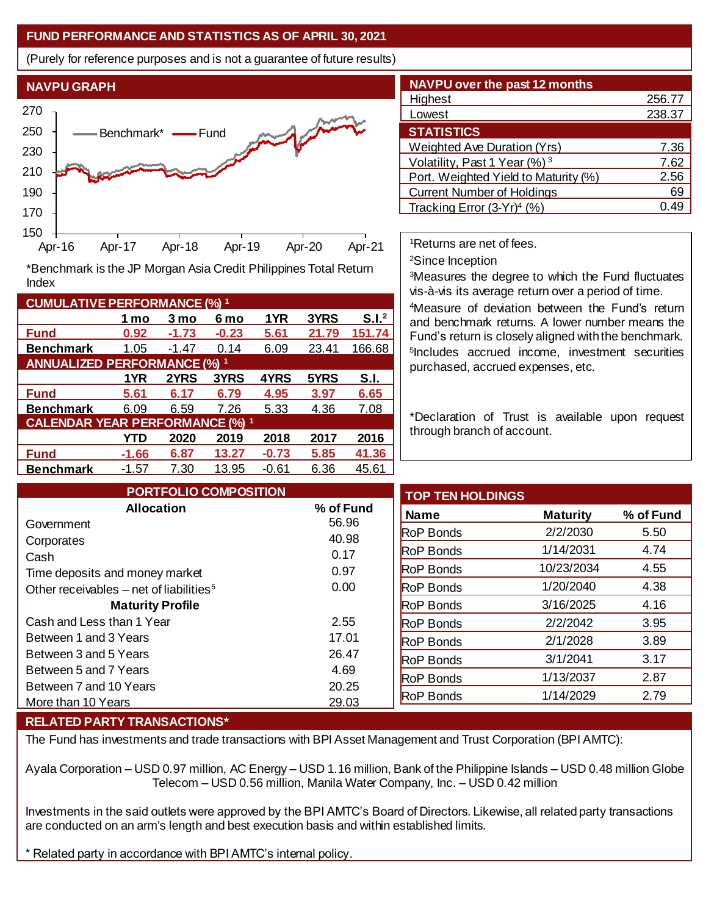## **FUND PERFORMANCE AND STATISTICS AS OF APRIL 30, 2021**

(Purely for reference purposes and is not a guarantee of future results)



**Fund 0.92 -1.73 -0.23 5.61 21.79 151.74 Benchmark** 1.05 -1.47 0.14 6.09 23.41 166.68

\*Benchmark is the JP Morgan Asia Credit Philippines Total Return

**Fund 5.61 6.17 6.79 4.95 3.97 6.65 Benchmark** 6.09 6.59 7.26 5.33 4.36 7.08

**Fund -1.66 6.87 13.27 -0.73 5.85 41.36 Benchmark** -1.57 7.30 13.95 -0.61 6.36 45.61

**1 mo 3 mo 6 mo 1YR 3YRS S.I.<sup>2</sup>**

**1YR 2YRS 3YRS 4YRS 5YRS S.I.**

**YTD 2020 2019 2018 2017 2016**

| <b>NAVPU over the past 12 months</b>     |        |
|------------------------------------------|--------|
| Highest                                  | 256.77 |
| Lowest                                   | 238.37 |
| <b>STATISTICS</b>                        |        |
| Weighted Ave Duration (Yrs)              | 7.36   |
| Volatility, Past 1 Year (%) <sup>3</sup> | 7.62   |
| Port. Weighted Yield to Maturity (%)     | 2.56   |
| <b>Current Number of Holdings</b>        | 69     |
| Tracking Error $(3-Yr)^4$ (%)            |        |

<sup>1</sup>Returns are net of fees.

<sup>2</sup>Since Inception

<sup>3</sup>Measures the degree to which the Fund fluctuates vis-à-vis its average return over a period of time.

<sup>4</sup>Measure of deviation between the Fund's return and benchmark returns. A lower number means the Fund's return is closely aligned with the benchmark. 5 Includes accrued income, investment securities purchased, accrued expenses, etc.

\*Declaration of Trust is available upon request through branch of account.

| <b>PORTFOLIO COMPOSITION</b>                        |           | <b>TOP TEN HOLDINGS</b> |                 |           |
|-----------------------------------------------------|-----------|-------------------------|-----------------|-----------|
| <b>Allocation</b>                                   | % of Fund | <b>Name</b>             | <b>Maturity</b> | % of Fund |
| Government                                          | 56.96     | <b>RoP Bonds</b>        | 2/2/2030        | 5.50      |
| Corporates                                          | 40.98     | <b>RoP Bonds</b>        | 1/14/2031       | 4.74      |
| Cash                                                | 0.17      |                         |                 |           |
| Time deposits and money market                      | 0.97      | <b>RoP Bonds</b>        | 10/23/2034      | 4.55      |
| Other receivables – net of liabilities <sup>5</sup> | 0.00      | <b>RoP Bonds</b>        | 1/20/2040       | 4.38      |
| <b>Maturity Profile</b>                             |           | <b>RoP Bonds</b>        | 3/16/2025       | 4.16      |
| Cash and Less than 1 Year                           | 2.55      | <b>RoP Bonds</b>        | 2/2/2042        | 3.95      |
| Between 1 and 3 Years                               | 17.01     | <b>RoP Bonds</b>        | 2/1/2028        | 3.89      |
| Between 3 and 5 Years                               | 26.47     | <b>RoP Bonds</b>        | 3/1/2041        | 3.17      |
| Between 5 and 7 Years                               | 4.69      | <b>RoP Bonds</b>        | 1/13/2037       | 2.87      |
| Between 7 and 10 Years                              | 20.25     |                         |                 |           |
| More than 10 Years                                  | 29.03     | <b>RoP Bonds</b>        | 1/14/2029       | 2.79      |

## **RELATED PARTY TRANSACTIONS\***

**CUMULATIVE PERFORMANCE (%) <sup>1</sup>**

Index

**ANNUALIZED PERFORMANCE (%) <sup>1</sup>**

**CALENDAR YEAR PERFORMANCE (%) <sup>1</sup>**

The Fund has investments and trade transactions with BPI Asset Management and Trust Corporation (BPI AMTC):

Ayala Corporation – USD 0.97 million, AC Energy – USD 1.16 million, Bank of the Philippine Islands – USD 0.48 million Globe Telecom – USD 0.56 million, Manila Water Company, Inc. – USD 0.42 million

Investments in the said outlets were approved by the BPI AMTC's Board of Directors. Likewise, all related party transactions are conducted on an arm's length and best execution basis and within established limits.

\* Related party in accordance with BPI AMTC's internal policy.